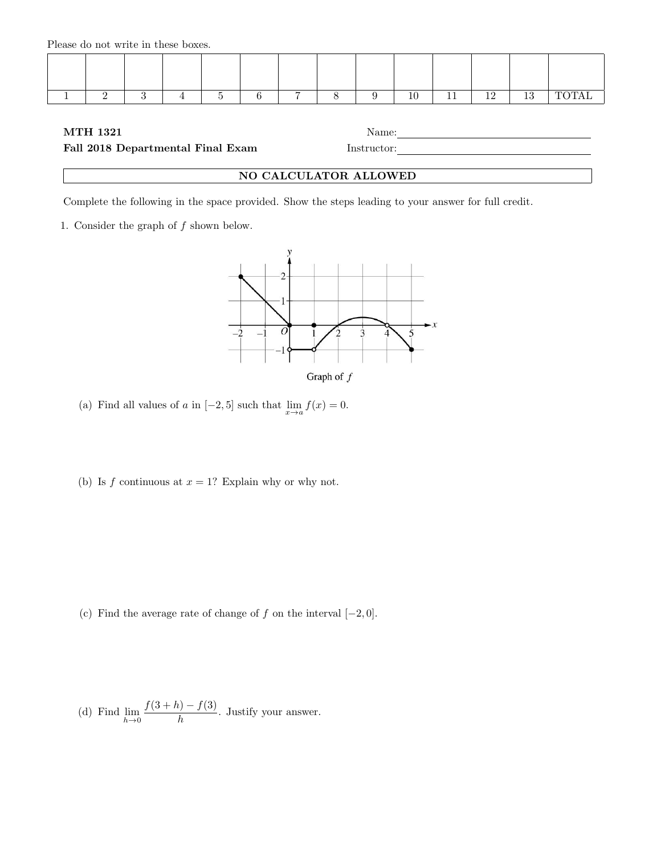Please do not write in these boxes.

|  |  | - | $\overline{ }$ |  | 10 | 10 | 10 |  |
|--|--|---|----------------|--|----|----|----|--|
|  |  |   |                |  |    |    |    |  |

## $\begin{tabular}{ll} \bf{MTH} \ 1321 & \hspace{2.5cm} \textbf{Name:} \end{tabular}$

Fall 2018 Departmental Final Exam Instructor:

## NO CALCULATOR ALLOWED

Complete the following in the space provided. Show the steps leading to your answer for full credit.

1. Consider the graph of  $f$  shown below.



(a) Find all values of a in  $[-2, 5]$  such that  $\lim_{x \to a} f(x) = 0$ .

(b) Is  $f$  continuous at  $x = 1$ ? Explain why or why not.

(c) Find the average rate of change of  $f$  on the interval  $[-2, 0]$ .

(d) Find 
$$
\lim_{h \to 0} \frac{f(3+h) - f(3)}{h}
$$
. Justify your answer.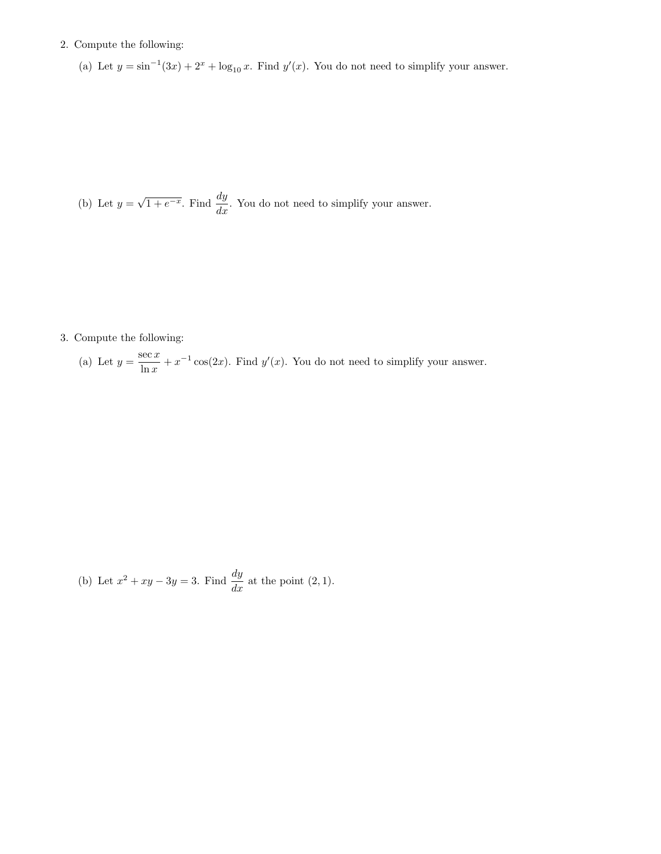## 2. Compute the following:

(a) Let  $y = \sin^{-1}(3x) + 2^x + \log_{10} x$ . Find  $y'(x)$ . You do not need to simplify your answer.

(b) Let  $y =$  $\sqrt{1+e^{-x}}$ . Find  $\frac{dy}{dx}$ . You do not need to simplify your answer.

3. Compute the following:

(a) Let  $y = \frac{\sec x}{1}$  $\frac{\sec x}{\ln x} + x^{-1} \cos(2x)$ . Find  $y'(x)$ . You do not need to simplify your answer.

(b) Let 
$$
x^2 + xy - 3y = 3
$$
. Find  $\frac{dy}{dx}$  at the point (2, 1).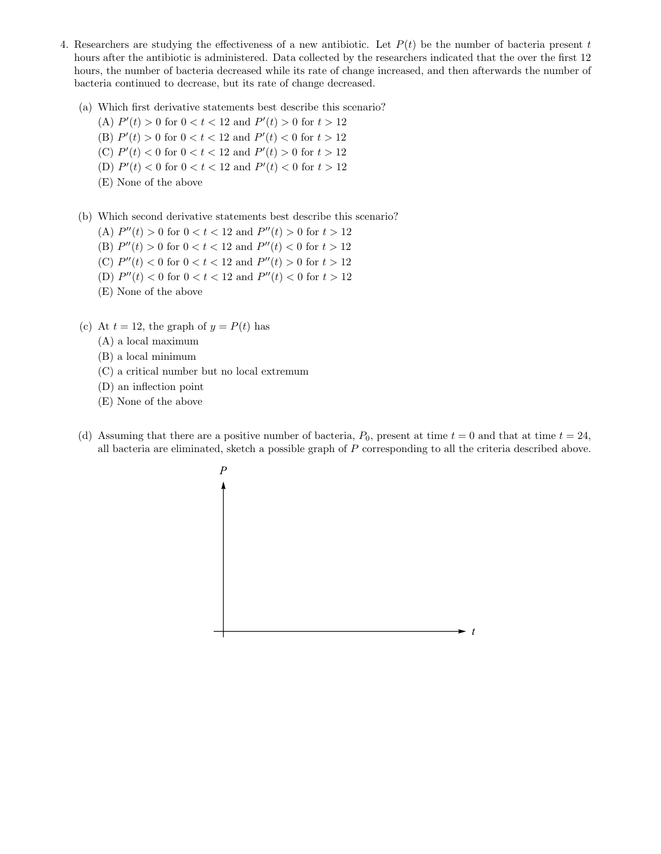- 4. Researchers are studying the effectiveness of a new antibiotic. Let  $P(t)$  be the number of bacteria present t hours after the antibiotic is administered. Data collected by the researchers indicated that the over the first 12 hours, the number of bacteria decreased while its rate of change increased, and then afterwards the number of bacteria continued to decrease, but its rate of change decreased.
	- (a) Which first derivative statements best describe this scenario?
		- (A)  $P'(t) > 0$  for  $0 < t < 12$  and  $P'(t) > 0$  for  $t > 12$
		- (B)  $P'(t) > 0$  for  $0 < t < 12$  and  $P'(t) < 0$  for  $t > 12$
		- (C)  $P'(t) < 0$  for  $0 < t < 12$  and  $P'(t) > 0$  for  $t > 12$
		- (D)  $P'(t) < 0$  for  $0 < t < 12$  and  $P'(t) < 0$  for  $t > 12$
		- (E) None of the above
	- (b) Which second derivative statements best describe this scenario?
		- (A)  $P''(t) > 0$  for  $0 < t < 12$  and  $P''(t) > 0$  for  $t > 12$
		- (B)  $P''(t) > 0$  for  $0 < t < 12$  and  $P''(t) < 0$  for  $t > 12$
		- (C)  $P''(t) < 0$  for  $0 < t < 12$  and  $P''(t) > 0$  for  $t > 12$
		- (D)  $P''(t) < 0$  for  $0 < t < 12$  and  $P''(t) < 0$  for  $t > 12$
		- (E) None of the above
	- (c) At  $t = 12$ , the graph of  $y = P(t)$  has
		- (A) a local maximum
		- (B) a local minimum
		- (C) a critical number but no local extremum
		- (D) an inflection point
		- (E) None of the above
	- (d) Assuming that there are a positive number of bacteria,  $P_0$ , present at time  $t = 0$  and that at time  $t = 24$ , all bacteria are eliminated, sketch a possible graph of P corresponding to all the criteria described above.

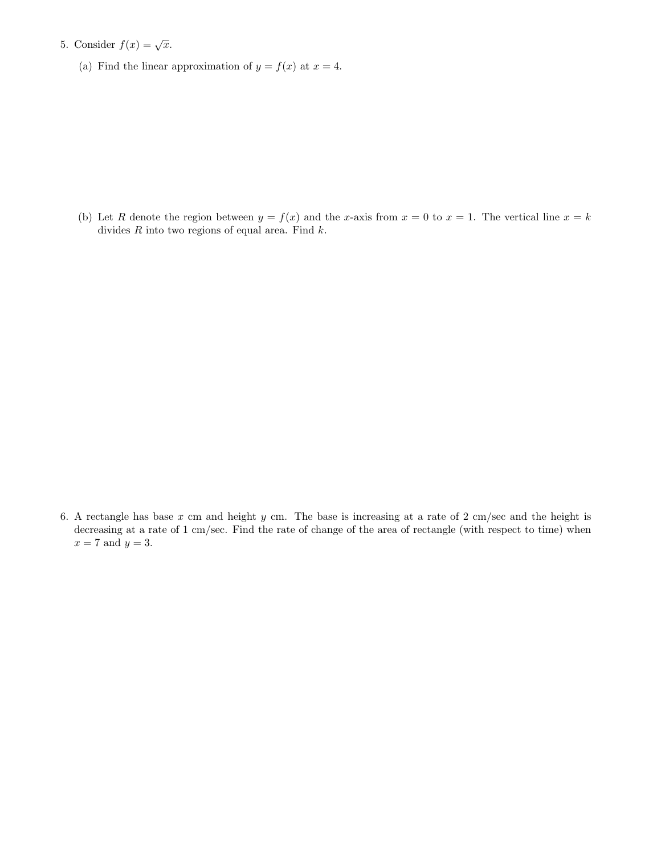- 5. Consider  $f(x) = \sqrt{x}$ .
	- (a) Find the linear approximation of  $y = f(x)$  at  $x = 4$ .

(b) Let R denote the region between  $y = f(x)$  and the x-axis from  $x = 0$  to  $x = 1$ . The vertical line  $x = k$ divides  $R$  into two regions of equal area. Find  $k$ .

6. A rectangle has base x cm and height y cm. The base is increasing at a rate of 2 cm/sec and the height is decreasing at a rate of 1 cm/sec. Find the rate of change of the area of rectangle (with respect to time) when  $x = 7$  and  $y = 3$ .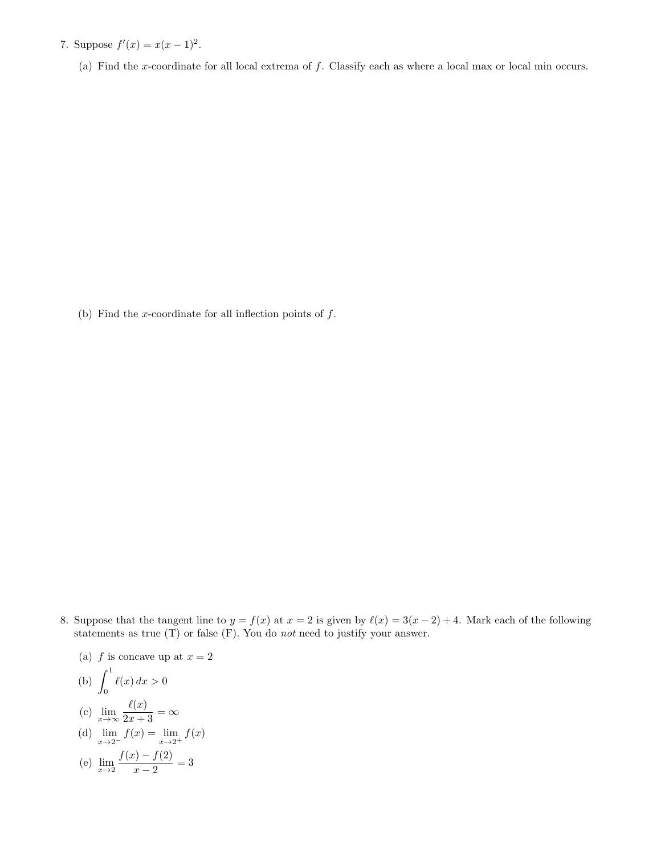- 7. Suppose  $f'(x) = x(x-1)^2$ .
	- (a) Find the x-coordinate for all local extrema of f. Classify each as where a local max or local min occurs.

(b) Find the x-coordinate for all inflection points of  $f$ .

8. Suppose that the tangent line to  $y = f(x)$  at  $x = 2$  is given by  $\ell(x) = 3(x - 2) + 4$ . Mark each of the following statements as true (T) or false (F). You do not need to justify your answer.

(a) 
$$
f
$$
 is concave up at  $x = 2$   
\n(b)  $\int_0^1 \ell(x) dx > 0$   
\n(c)  $\lim_{x \to \infty} \frac{\ell(x)}{2x + 3} = \infty$   
\n(d)  $\lim_{x \to 2^-} f(x) = \lim_{x \to 2^+} f(x)$   
\n(e)  $\lim_{x \to 2} \frac{f(x) - f(2)}{x - 2} = 3$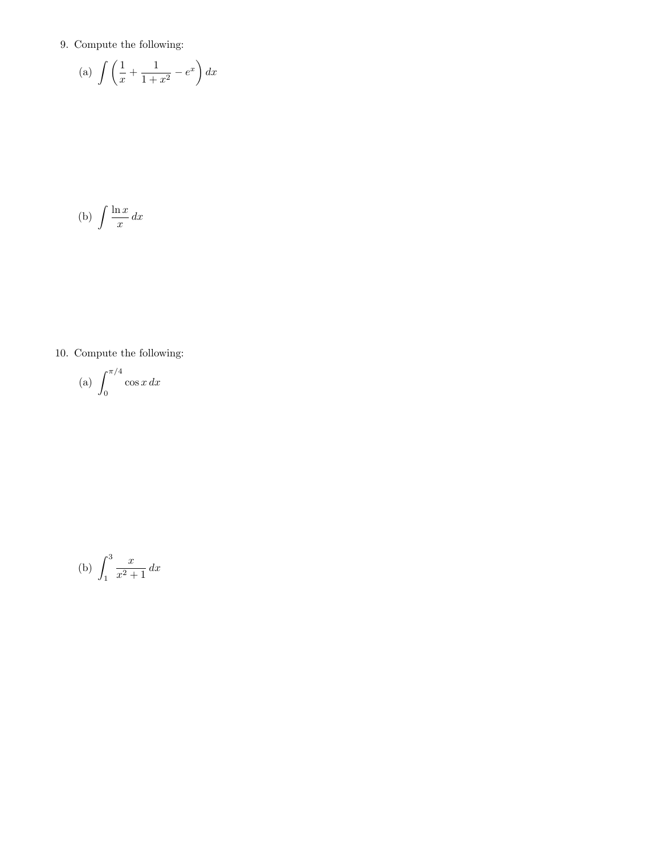9. Compute the following:

(a) 
$$
\int \left(\frac{1}{x} + \frac{1}{1+x^2} - e^x\right) dx
$$

$$
(b) \int \frac{\ln x}{x} dx
$$

10. Compute the following:

$$
(a) \int_0^{\pi/4} \cos x \, dx
$$

(b) 
$$
\int_{1}^{3} \frac{x}{x^2 + 1} dx
$$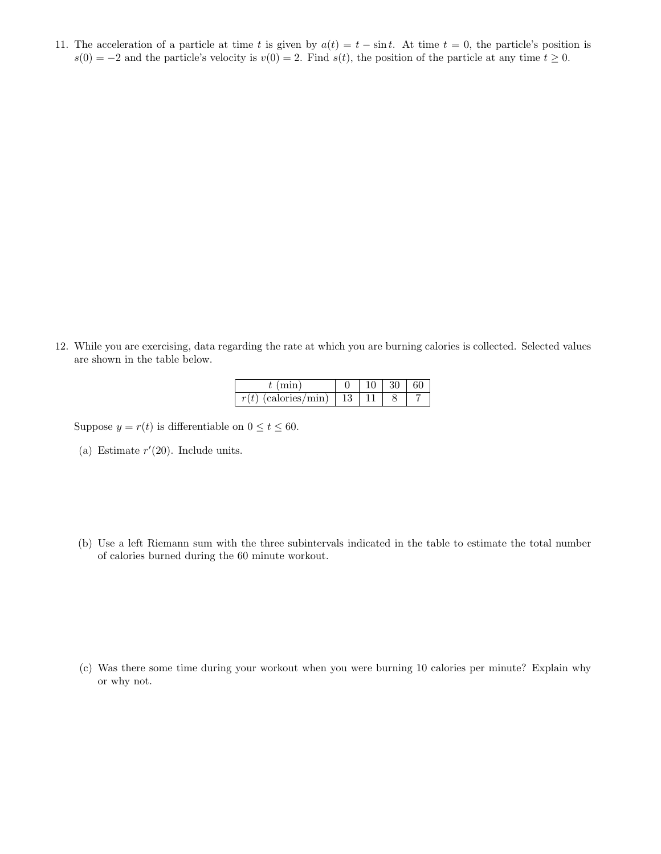11. The acceleration of a particle at time t is given by  $a(t) = t - \sin t$ . At time  $t = 0$ , the particle's position is  $s(0) = -2$  and the particle's velocity is  $v(0) = 2$ . Find  $s(t)$ , the position of the particle at any time  $t \ge 0$ .

12. While you are exercising, data regarding the rate at which you are burning calories is collected. Selected values are shown in the table below.

| calories<br>$\sim$<br>v |  |  |
|-------------------------|--|--|

Suppose  $y = r(t)$  is differentiable on  $0 \le t \le 60$ .

- (a) Estimate  $r'(20)$ . Include units.
- (b) Use a left Riemann sum with the three subintervals indicated in the table to estimate the total number of calories burned during the 60 minute workout.

(c) Was there some time during your workout when you were burning 10 calories per minute? Explain why or why not.